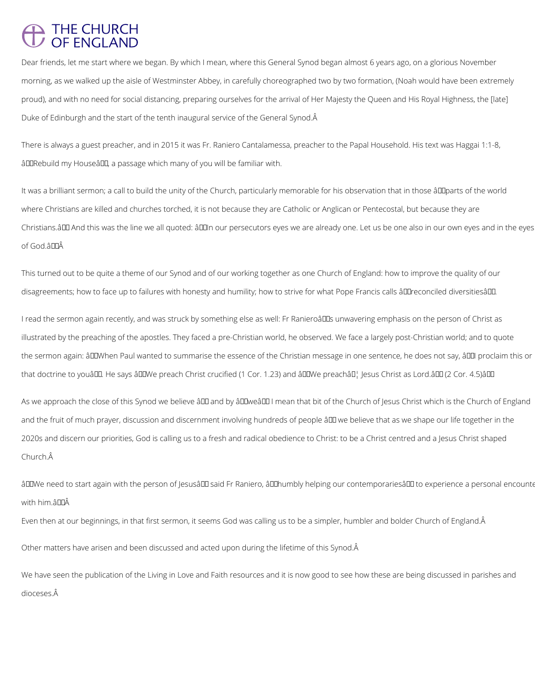## THE CHURCH<br>OF ENGLAND

Dear friends, let me start where we began. By which I mean, where this General Synod began almost 6 years ago, on a glorious November morning, as we walked up the aisle of Westminster Abbey, in carefully choreographed two by two formation, (Noah would have been extremely proud), and with no need for social distancing, preparing ourselves for the arrival of Her Majesty the Queen and His Royal Highness, the [late] Duke of Edinburgh and the start of the tenth inaugural service of the General Synod.

There is always a guest preacher, and in 2015 it was Fr. Raniero Cantalamessa, preacher to the Papal Household. His text was Haggai 1:1-8, âDO Rebuild my Houseâ DO, a passage which many of you will be familiar with.

It was a brilliant sermon; a call to build the unity of the Church, particularly memorable for his observation that in those âll parts of the world where Christians are killed and churches torched, it is not because they are Catholic or Anglican or Pentecostal, but because they are Christians. ALD And this was the line we all quoted: ALLIn our persecutors eyes we are already one. Let us be one also in our own eyes and in the eyes of God.â

This turned out to be quite a theme of our Synod and of our working together as one Church of England: how to improve the quality of our disagreements; how to face up to failures with honesty and humility; how to strive for what Pope Francis calls âllereconciled diversitiesâll.

I read the sermon again recently, and was struck by something else as well: Fr Ranieroâll unwavering emphasis on the person of Christ as illustrated by the preaching of the apostles. They faced a pre-Christian world, he observed. We face a largely post-Christian world; and to quote the sermon again: âDDWhen Paul wanted to summarise the essence of the Christian message in one sentence, he does not say, âDDI proclaim this or that doctrine to youâ. He says â. I We preach Christ crucified (1 Cor. 1.23) and â. I We preachâ. [] Jesus Christ as Lord.â I (2 Cor. 4.5) â. I I

As we approach the close of this Synod we believe â LD and by â LDweâ LD I mean that bit of the Church of Jesus Christ which is the Church of England and the fruit of much prayer, discussion and discernment involving hundreds of people â DD we believe that as we shape our life together in the 2020s and discern our priorities, God is calling us to a fresh and radical obedience to Christ: to be a Christ centred and a Jesus Christ shaped Church.

âDDWe need to start again with the person of JesusâDD said Fr Raniero, âDDhumbly helping our contemporariesâDD to experience a personal encounter with him â **NA** 

Even then at our beginnings, in that first sermon, it seems God was calling us to be a simpler, humbler and bolder Church of England.

Other matters have arisen and been discussed and acted upon during the lifetime of this Synod.

We have seen the publication of the Living in Love and Faith resources and it is now good to see how these are being discussed in parishes and dioceses.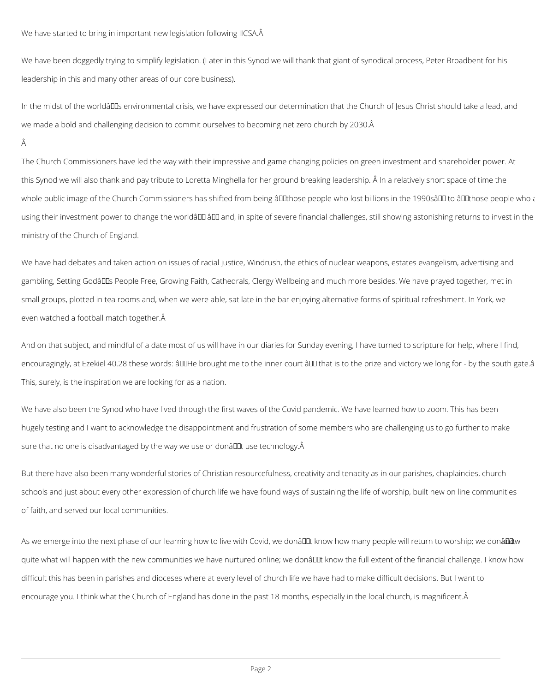We have started to bring in important new legislation following IICSA.A

We have been doggedly trying to simplify legislation. (Later in this Synod we will thank that giant of synodical process, Peter Broadbent for his leadership in this and many other areas of our core business).

In the midst of the worldâll as environmental crisis, we have expressed our determination that the Church of Jesus Christ should take a lead, and we made a bold and challenging decision to commit ourselves to becoming net zero church by 2030.

Â

The Church Commissioners have led the way with their impressive and game changing policies on green investment and shareholder power. At this Synod we will also thank and pay tribute to Loretta Minghella for her ground breaking leadership. Â In a relatively short space of time the whole public image of the Church Commissioners has shifted from being âll those people who lost billions in the 1990sâ ll to âl llthose people who a using their investment power to change the worldâ DD and, in spite of severe financial challenges, still showing astonishing returns to invest in the ministry of the Church of England.

We have also been the Synod who have lived through the first waves of the Covid pandemic. We have learned how to zoom. This has been hugely testing and I want to acknowledge the disappointment and frustration of some members who are challenging us to go further to make sure that no one is disadvantaged by the way we use or donâult use technology. A

We have had debates and taken action on issues of racial justice, Windrush, the ethics of nuclear weapons, estates evangelism, advertising and gambling, Setting Godâlls People Free, Growing Faith, Cathedrals, Clergy Wellbeing and much more besides. We have prayed together, met in small groups, plotted in tea rooms and, when we were able, sat late in the bar enjoying alternative forms of spiritual refreshment. In York, we even watched a football match together.

And on that subject, and mindful of a date most of us will have in our diaries for Sunday evening, I have turned to scripture for help, where I find, encouragingly, at Ezekiel 40.28 these words: âULHe brought me to the inner court âUL that is to the prize and victory we long for - by the south gate.â This, surely, is the inspiration we are looking for as a nation.

But there have also been many wonderful stories of Christian resourcefulness, creativity and tenacity as in our parishes, chaplaincies, church schools and just about every other expression of church life we have found ways of sustaining the life of worship, built new on line communities of faith, and served our local communities.

As we emerge into the next phase of our learning how to live with Covid, we donâl Lut know how many people will return to worship; we don a Lut will return to worship; we don a Lut will return to worship; we don a

quite what will happen with the new communities we have nurtured online; we donâl L know the full extent of the financial challenge. I know how

difficult this has been in parishes and dioceses where at every level of church life we have had to make difficult decisions. But I want to

encourage you. I think what the Church of England has done in the past 18 months, especially in the local church, is magnificent.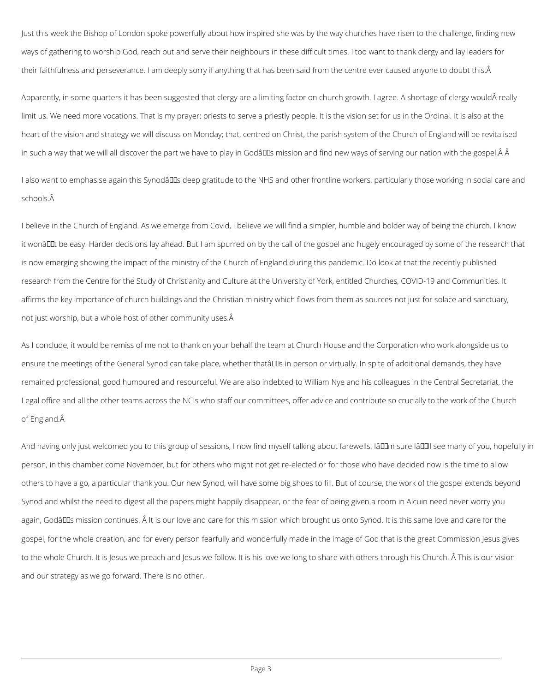Just this week the Bishop of London spoke powerfully about how inspired she was by the way churches have risen to the challenge, finding new ways of gathering to worship God, reach out and serve their neighbours in these difficult times. I too want to thank clergy and lay leaders for their faithfulness and perseverance. I am deeply sorry if anything that has been said from the centre ever caused anyone to doubt this. Â

Apparently, in some quarters it has been suggested that clergy are a limiting factor on church growth. I agree. A shortage of clergy would really limit us. We need more vocations. That is my prayer: priests to serve a priestly people. It is the vision set for us in the Ordinal. It is also at the heart of the vision and strategy we will discuss on Monday; that, centred on Christ, the parish system of the Church of England will be revitalised in such a way that we will all discover the part we have to play in Godâlls mission and find new ways of serving our nation with the gospel. A A

I also want to emphasise again this Synodâll Ds deep gratitude to the NHS and other frontline workers, particularly those working in social care and schools.

And having only just welcomed you to this group of sessions, I now find myself talking about farewells. Iâll m sure Iâll see many of you, hopefully in person, in this chamber come November, but for others who might not get re-elected or for those who have decided now is the time to allow others to have a go, a particular thank you. Our new Synod, will have some big shoes to fill. But of course, the work of the gospel extends beyond Synod and whilst the need to digest all the papers might happily disappear, or the fear of being given a room in Alcuin need never worry you

again, Godâll Is mission continues. Â It is our love and care for this mission which brought us onto Synod. It is this same love and care for the

I believe in the Church of England. As we emerge from Covid, I believe we will find a simpler, humble and bolder way of being the church. I know it wonâl Lut be easy. Harder decisions lay ahead. But I am spurred on by the call of the gospel and hugely encouraged by some of the research that is now emerging showing the impact of the ministry of the Church of England during this pandemic. Do look at that the recently published research from the Centre for the Study of Christianity and Culture at the University of York, entitled Churches, COVID-19 and Communities. It affirms the key importance of church buildings and the Christian ministry which flows from them as sources not just for solace and sanctuary, not just worship, but a whole host of other community uses.

As I conclude, it would be remiss of me not to thank on your behalf the team at Church House and the Corporation who work alongside us to ensure the meetings of the General Synod can take place, whether thatâll in person or virtually. In spite of additional demands, they have remained professional, good humoured and resourceful. We are also indebted to William Nye and his colleagues in the Central Secretariat, the Legal office and all the other teams across the NCIs who staff our committees, offer advice and contribute so crucially to the work of the Church of England.

gospel, for the whole creation, and for every person fearfully and wonderfully made in the image of God that is the great Commission Jesus gives

to the whole Church. It is Jesus we preach and Jesus we follow. It is his love we long to share with others through his Church. Â This is our vision

and our strategy as we go forward. There is no other.